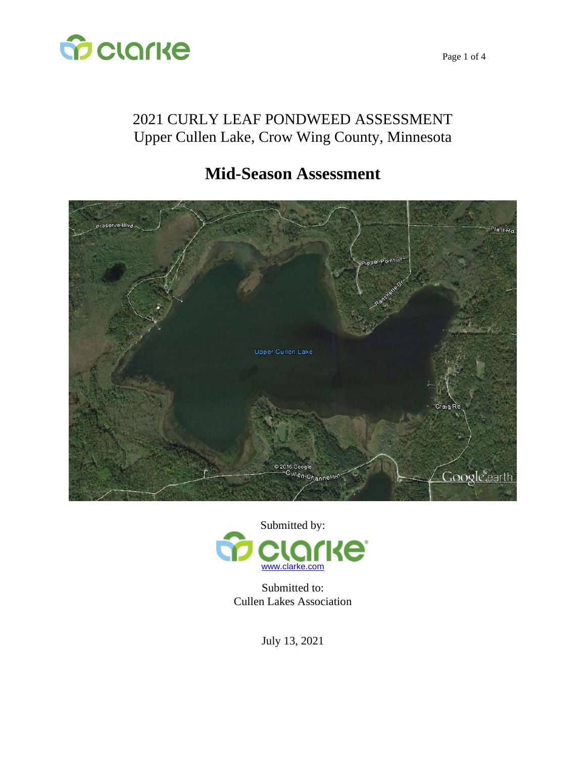

Page 1 of 4

# 2021 CURLY LEAF PONDWEED ASSESSMENT Upper Cullen Lake, Crow Wing County, Minnesota

# **Mid-Season Assessment**





Submitted to: Cullen Lakes Association

July 13, 2021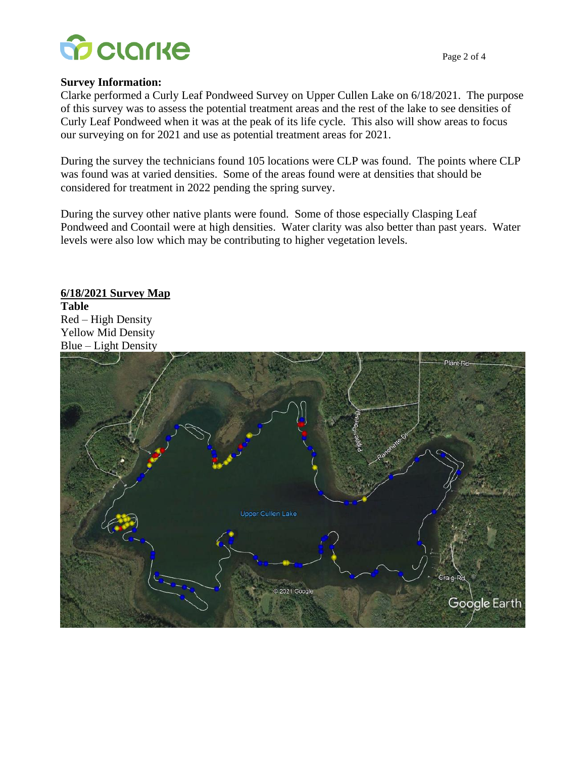

#### **Survey Information:**

Clarke performed a Curly Leaf Pondweed Survey on Upper Cullen Lake on 6/18/2021. The purpose of this survey was to assess the potential treatment areas and the rest of the lake to see densities of Curly Leaf Pondweed when it was at the peak of its life cycle. This also will show areas to focus our surveying on for 2021 and use as potential treatment areas for 2021.

During the survey the technicians found 105 locations were CLP was found. The points where CLP was found was at varied densities. Some of the areas found were at densities that should be considered for treatment in 2022 pending the spring survey.

During the survey other native plants were found. Some of those especially Clasping Leaf Pondweed and Coontail were at high densities. Water clarity was also better than past years. Water levels were also low which may be contributing to higher vegetation levels.

## **6/18/2021 Survey Map Table**  Red – High Density

Yellow Mid Density Blue – Light Density

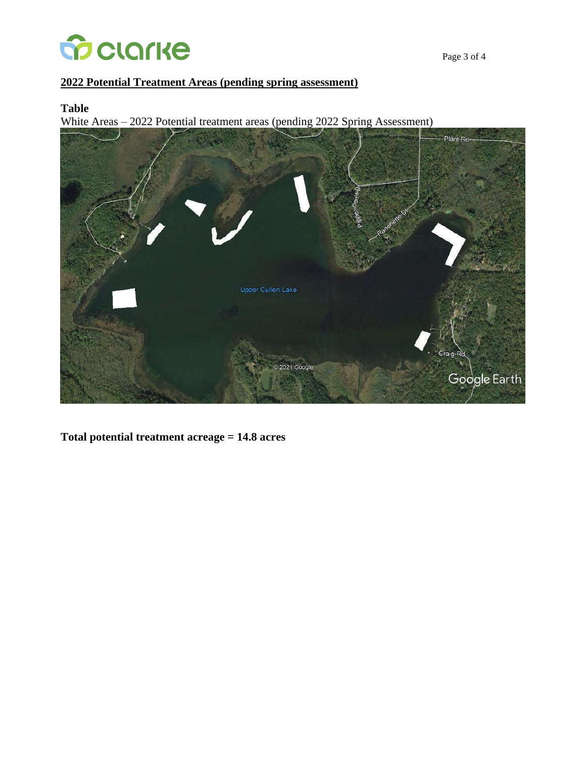

### **2022 Potential Treatment Areas (pending spring assessment)**

#### **Table**

White Areas – 2022 Potential treatment areas (pending 2022 Spring Assessment)



**Total potential treatment acreage = 14.8 acres**